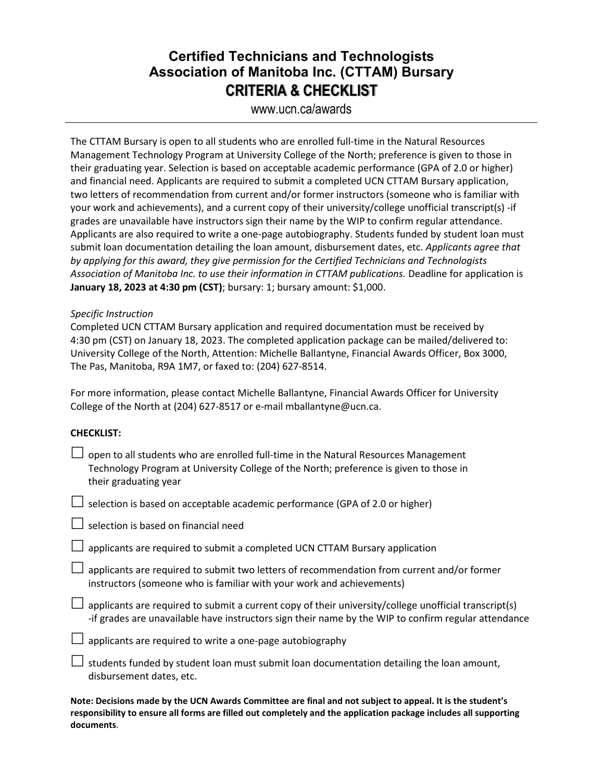## **Certified Technicians and Technologists Association of Manitoba Inc. (CTTAM) Bursary CRITERIA & CHECKLIST**

www.ucn.ca/awards

The CTTAM Bursary is open to all students who are enrolled full-time in the Natural Resources Management Technology Program at University College of the North; preference is given to those in their graduating year. Selection is based on acceptable academic performance (GPA of 2.0 or higher) and financial need. Applicants are required to submit a completed UCN CTTAM Bursary application, two letters of recommendation from current and/or former instructors (someone who is familiar with your work and achievements), and a current copy of their university/college unofficial transcript(s) -if grades are unavailable have instructors sign their name by the WIP to confirm regular attendance. Applicants are also required to write a one-page autobiography. Students funded by student loan must submit loan documentation detailing the loan amount, disbursement dates, etc. *Applicants agree that by applying for this award, they give permission for the Certified Technicians and Technologists Association of Manitoba Inc. to use their information in CTTAM publications.* Deadline for application is **January 18, 2023 at 4:30 pm (CST)**; bursary: 1; bursary amount: \$1,000.

### *Specific Instruction*

Completed UCN CTTAM Bursary application and required documentation must be received by 4:30 pm (CST) on January 18, 2023. The completed application package can be mailed/delivered to: University College of the North, Attention: Michelle Ballantyne, Financial Awards Officer, Box 3000, The Pas, Manitoba, R9A 1M7, or faxed to: (204) 627-8514.

For more information, please contact Michelle Ballantyne, Financial Awards Officer for University College of the North at (204) 627-8517 or e-mail mballantyne@ucn.ca.

### **CHECKLIST:**

| $\Box$ open to all students who are enrolled full-time in the Natural Resources Management |
|--------------------------------------------------------------------------------------------|
| Technology Program at University College of the North; preference is given to those in     |
| their graduating year                                                                      |

 $\Box$  selection is based on acceptable academic performance (GPA of 2.0 or higher)

 $\Box$  selection is based on financial need

 $\Box$  applicants are required to submit a completed UCN CTTAM Bursary application

 $\Box$  applicants are required to submit two letters of recommendation from current and/or former instructors (someone who is familiar with your work and achievements)

 $\Box$  applicants are required to submit a current copy of their university/college unofficial transcript(s) -if grades are unavailable have instructors sign their name by the WIP to confirm regular attendance

 $\Box$  applicants are required to write a one-page autobiography

 $\Box$  students funded by student loan must submit loan documentation detailing the loan amount, disbursement dates, etc.

**Note: Decisions made by the UCN Awards Committee are final and not subject to appeal. It is the student's responsibility to ensure all forms are filled out completely and the application package includes all supporting documents**.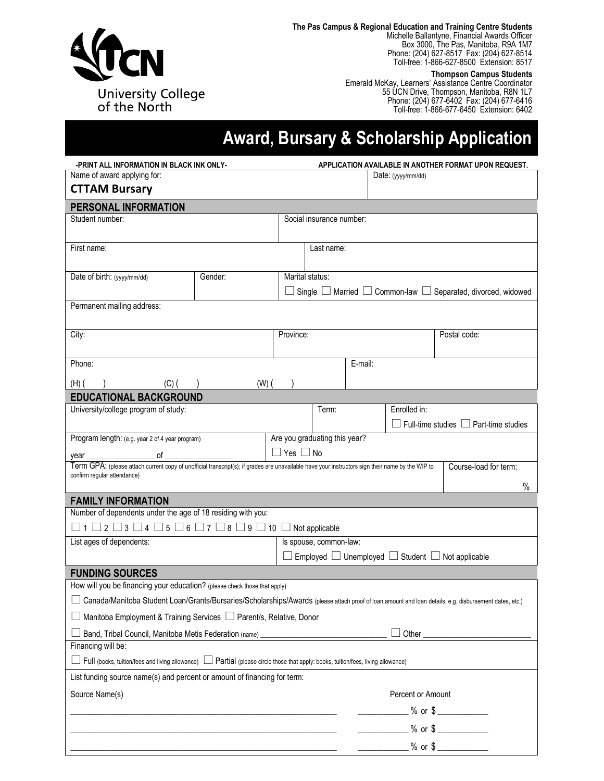

**The Pas Campus & Regional Education and Training Centre Students**

Michelle Ballantyne, Financial Awards Officer Box 3000, The Pas, Manitoba, R9A 1M7 Phone: (204) 627-8517 Fax: (204) 627-8514 Toll-free: 1-866-627-8500 Extension: 8517

**Thompson Campus Students**

Emerald McKay, Learners' Assistance Centre Coordinator 55 UCN Drive, Thompson, Manitoba, R8N 1L7 Phone: (204) 677-6402 Fax: (204) 677-6416 Toll-free: 1-866-677-6450 Extension: 6402

# **Award, Bursary & Scholarship Application**

| -PRINT ALL INFORMATION IN BLACK INK ONLY-                                                                                                                |         | APPLICATION AVAILABLE IN ANOTHER FORMAT UPON REQUEST. |                               |         |                                                                        |                                                                                    |  |
|----------------------------------------------------------------------------------------------------------------------------------------------------------|---------|-------------------------------------------------------|-------------------------------|---------|------------------------------------------------------------------------|------------------------------------------------------------------------------------|--|
| Name of award applying for:                                                                                                                              |         |                                                       | Date: (yyyy/mm/dd)            |         |                                                                        |                                                                                    |  |
| <b>CTTAM Bursary</b>                                                                                                                                     |         |                                                       |                               |         |                                                                        |                                                                                    |  |
| PERSONAL INFORMATION                                                                                                                                     |         |                                                       |                               |         |                                                                        |                                                                                    |  |
| Student number:                                                                                                                                          |         |                                                       | Social insurance number:      |         |                                                                        |                                                                                    |  |
|                                                                                                                                                          |         |                                                       |                               |         |                                                                        |                                                                                    |  |
| First name:                                                                                                                                              |         |                                                       | Last name:                    |         |                                                                        |                                                                                    |  |
|                                                                                                                                                          |         |                                                       |                               |         |                                                                        |                                                                                    |  |
| Date of birth: (yyyy/mm/dd)                                                                                                                              | Gender: |                                                       | Marital status:               |         |                                                                        |                                                                                    |  |
|                                                                                                                                                          |         |                                                       |                               |         |                                                                        | $\Box$ Single $\Box$ Married $\Box$ Common-law $\Box$ Separated, divorced, widowed |  |
| Permanent mailing address:                                                                                                                               |         |                                                       |                               |         |                                                                        |                                                                                    |  |
|                                                                                                                                                          |         |                                                       |                               |         |                                                                        |                                                                                    |  |
| City:                                                                                                                                                    |         | Province:                                             |                               |         |                                                                        | Postal code:                                                                       |  |
|                                                                                                                                                          |         |                                                       |                               |         |                                                                        |                                                                                    |  |
| Phone:                                                                                                                                                   |         |                                                       |                               | E-mail: |                                                                        |                                                                                    |  |
| $(H)$ (<br>$(C)$ (                                                                                                                                       | $(W)$ ( |                                                       |                               |         |                                                                        |                                                                                    |  |
| <b>EDUCATIONAL BACKGROUND</b>                                                                                                                            |         |                                                       |                               |         |                                                                        |                                                                                    |  |
| University/college program of study:                                                                                                                     |         |                                                       | Term:                         |         | Enrolled in:                                                           |                                                                                    |  |
|                                                                                                                                                          |         |                                                       |                               |         |                                                                        | $\Box$ Full-time studies $\Box$ Part-time studies                                  |  |
| Program length: (e.g. year 2 of 4 year program)                                                                                                          |         |                                                       | Are you graduating this year? |         |                                                                        |                                                                                    |  |
|                                                                                                                                                          |         | $\Box$ Yes $\Box$ No                                  |                               |         |                                                                        |                                                                                    |  |
| confirm regular attendance)                                                                                                                              |         |                                                       |                               |         |                                                                        | Course-load for term:                                                              |  |
|                                                                                                                                                          |         |                                                       |                               |         |                                                                        | $\%$                                                                               |  |
| <b>FAMILY INFORMATION</b>                                                                                                                                |         |                                                       |                               |         |                                                                        |                                                                                    |  |
| Number of dependents under the age of 18 residing with you:                                                                                              |         |                                                       |                               |         |                                                                        |                                                                                    |  |
| $\Box$ 1 $\Box$ 2 $\Box$ 3 $\Box$ 4 $\Box$ 5 $\Box$ 6 $\Box$ 7 $\Box$ 8 $\Box$ 9 $\Box$ 10 $\Box$ Not applicable                                         |         |                                                       |                               |         |                                                                        |                                                                                    |  |
| List ages of dependents:                                                                                                                                 |         |                                                       | Is spouse, common-law:        |         |                                                                        |                                                                                    |  |
|                                                                                                                                                          |         |                                                       |                               |         | $\Box$ Employed $\Box$ Unemployed $\Box$ Student $\Box$ Not applicable |                                                                                    |  |
| <b>FUNDING SOURCES</b>                                                                                                                                   |         |                                                       |                               |         |                                                                        |                                                                                    |  |
| How will you be financing your education? (please check those that apply)                                                                                |         |                                                       |                               |         |                                                                        |                                                                                    |  |
| □ Canada/Manitoba Student Loan/Grants/Bursaries/Scholarships/Awards (please attach proof of loan amount and loan details, e.g. disbursement dates, etc.) |         |                                                       |                               |         |                                                                        |                                                                                    |  |
| □ Manitoba Employment & Training Services □ Parent/s, Relative, Donor                                                                                    |         |                                                       |                               |         |                                                                        |                                                                                    |  |
| Band, Tribal Council, Manitoba Metis Federation (name) _________________________                                                                         |         |                                                       |                               | Other   |                                                                        |                                                                                    |  |
| Financing will be:                                                                                                                                       |         |                                                       |                               |         |                                                                        |                                                                                    |  |
| $\Box$ Full (books, tuition/fees and living allowance) $\Box$ Partial (please circle those that apply: books, tuition/fees, living allowance)            |         |                                                       |                               |         |                                                                        |                                                                                    |  |
| List funding source name(s) and percent or amount of financing for term:                                                                                 |         |                                                       |                               |         |                                                                        |                                                                                    |  |
| Source Name(s)                                                                                                                                           |         |                                                       |                               |         | Percent or Amount                                                      |                                                                                    |  |
|                                                                                                                                                          |         |                                                       |                               |         | $\frac{1}{2}$ % or \$                                                  |                                                                                    |  |
|                                                                                                                                                          |         |                                                       |                               |         | $\frac{9}{6}$ or \$                                                    |                                                                                    |  |
|                                                                                                                                                          |         |                                                       |                               |         |                                                                        |                                                                                    |  |
|                                                                                                                                                          |         |                                                       |                               |         |                                                                        |                                                                                    |  |